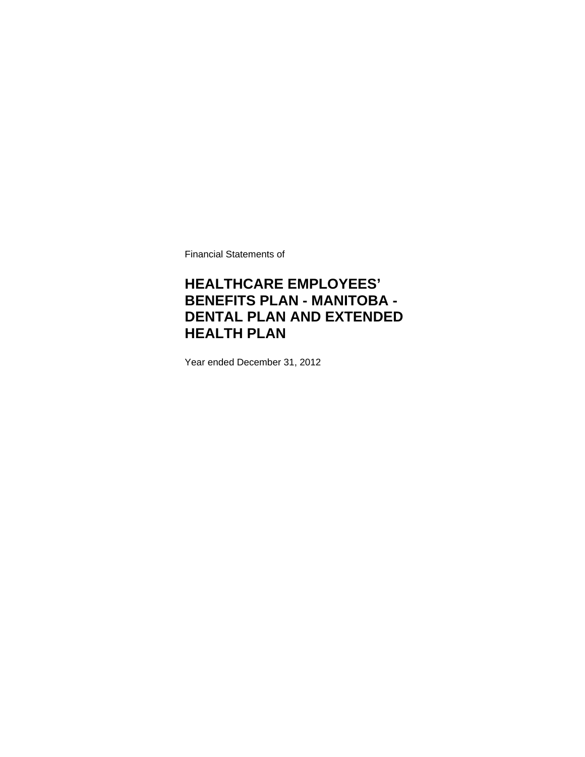Financial Statements of

# **HEALTHCARE EMPLOYEES' BENEFITS PLAN - MANITOBA - DENTAL PLAN AND EXTENDED HEALTH PLAN**

Year ended December 31, 2012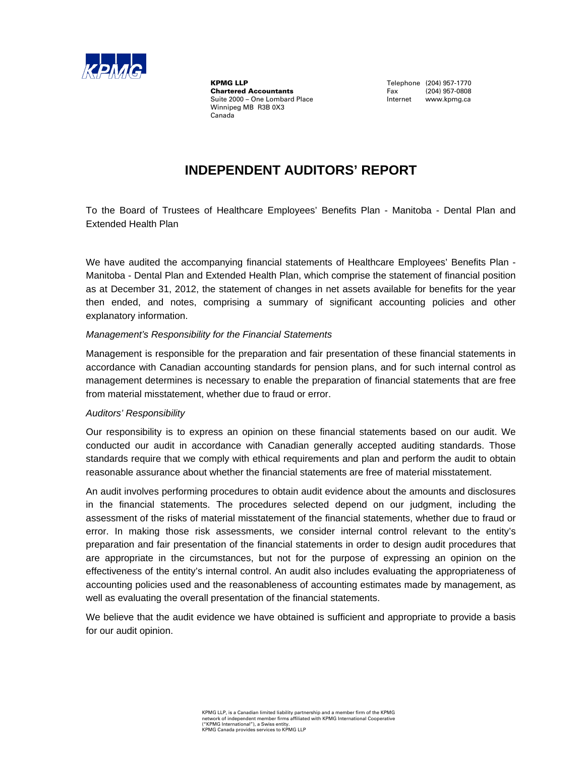

**KPMG LLP**<br> **Chartered Accountants**<br> **Chartered Accountants**<br>
Tax (204) 957-0808 **Chartered Accountants**<br>Suite 2000 - One Lombard Place Winnipeg MB R3B 0X3 Canada

Internet www.kpmg.ca

# **INDEPENDENT AUDITORS' REPORT**

To the Board of Trustees of Healthcare Employees' Benefits Plan - Manitoba - Dental Plan and Extended Health Plan

We have audited the accompanying financial statements of Healthcare Employees' Benefits Plan - Manitoba - Dental Plan and Extended Health Plan, which comprise the statement of financial position as at December 31, 2012, the statement of changes in net assets available for benefits for the year then ended, and notes, comprising a summary of significant accounting policies and other explanatory information.

#### *Management's Responsibility for the Financial Statements*

Management is responsible for the preparation and fair presentation of these financial statements in accordance with Canadian accounting standards for pension plans, and for such internal control as management determines is necessary to enable the preparation of financial statements that are free from material misstatement, whether due to fraud or error.

#### *Auditors' Responsibility*

Our responsibility is to express an opinion on these financial statements based on our audit. We conducted our audit in accordance with Canadian generally accepted auditing standards. Those standards require that we comply with ethical requirements and plan and perform the audit to obtain reasonable assurance about whether the financial statements are free of material misstatement.

An audit involves performing procedures to obtain audit evidence about the amounts and disclosures in the financial statements. The procedures selected depend on our judgment, including the assessment of the risks of material misstatement of the financial statements, whether due to fraud or error. In making those risk assessments, we consider internal control relevant to the entity's preparation and fair presentation of the financial statements in order to design audit procedures that are appropriate in the circumstances, but not for the purpose of expressing an opinion on the effectiveness of the entity's internal control. An audit also includes evaluating the appropriateness of accounting policies used and the reasonableness of accounting estimates made by management, as well as evaluating the overall presentation of the financial statements.

We believe that the audit evidence we have obtained is sufficient and appropriate to provide a basis for our audit opinion.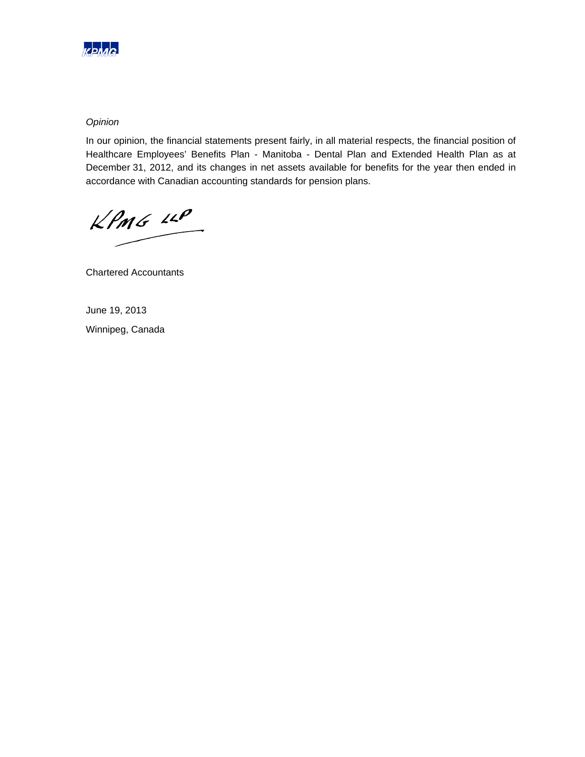

#### *Opinion*

In our opinion, the financial statements present fairly, in all material respects, the financial position of Healthcare Employees' Benefits Plan - Manitoba - Dental Plan and Extended Health Plan as at December 31, 2012, and its changes in net assets available for benefits for the year then ended in accordance with Canadian accounting standards for pension plans.

 $KPMG$  12P

Chartered Accountants

June 19, 2013 Winnipeg, Canada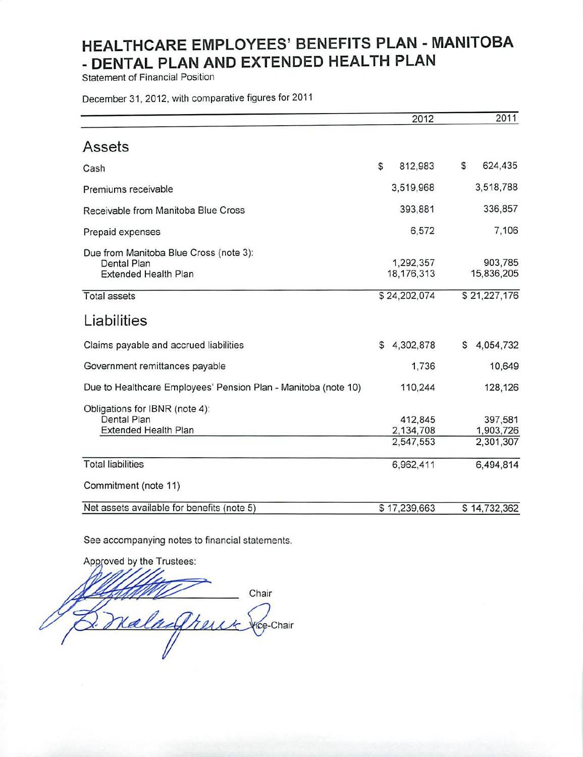**Statement of Financial Position** 

December 31, 2012, with comparative figures for 2011

|                                                                                      | 2012                              | 2011                              |
|--------------------------------------------------------------------------------------|-----------------------------------|-----------------------------------|
| Assets                                                                               |                                   |                                   |
| Cash                                                                                 | \$<br>812,983                     | \$<br>624,435                     |
| Premiums receivable                                                                  | 3,519,968                         | 3,518,788                         |
| Receivable from Manitoba Blue Cross                                                  | 393,881                           | 336,857                           |
| Prepaid expenses                                                                     | 6,572                             | 7,106                             |
| Due from Manitoba Blue Cross (note 3):<br>Dental Plan<br><b>Extended Health Plan</b> | 1,292,357<br>18,176,313           | 903,785<br>15,836,205             |
| <b>Total assets</b>                                                                  | \$24,202,074                      | \$21,227,176                      |
| Liabilities                                                                          |                                   |                                   |
| Claims payable and accrued liabilities                                               | 4,302,878<br>S                    | 4,054,732<br>S                    |
| Government remittances payable                                                       | 1,736                             | 10,649                            |
| Due to Healthcare Employees' Pension Plan - Manitoba (note 10)                       | 110,244                           | 128,126                           |
| Obligations for IBNR (note 4):<br>Dental Plan<br>Extended Health Plan                | 412,845<br>2,134,708<br>2,547,553 | 397,581<br>1,903,726<br>2,301,307 |
| <b>Total liabilities</b>                                                             | 6,962,411                         | 6,494,814                         |
| Commitment (note 11)                                                                 |                                   |                                   |
| Net assets available for benefits (note 5)                                           | \$17,239,663                      | \$14,732,362                      |

See accompanying notes to financial statements.

Approved by the Trustees: Chair malagherre Vice-Chair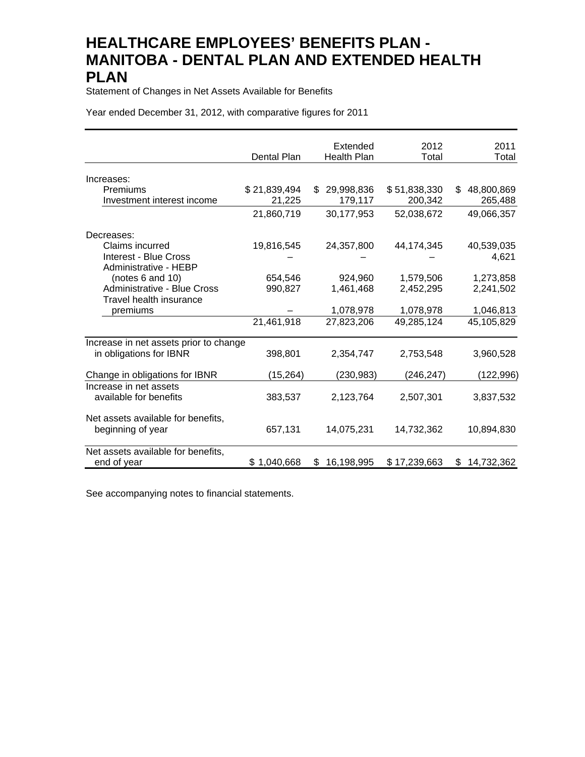Statement of Changes in Net Assets Available for Benefits

Year ended December 31, 2012, with comparative figures for 2011

|                                        | Dental Plan  | Extended<br><b>Health Plan</b> | 2012<br>Total | 2011<br>Total    |
|----------------------------------------|--------------|--------------------------------|---------------|------------------|
|                                        |              |                                |               |                  |
| Increases:                             |              |                                |               |                  |
| Premiums                               | \$21,839,494 | \$<br>29,998,836               | \$51,838,330  | 48,800,869<br>\$ |
| Investment interest income             | 21,225       | 179,117                        | 200,342       | 265,488          |
|                                        | 21,860,719   | 30,177,953                     | 52,038,672    | 49,066,357       |
| Decreases:                             |              |                                |               |                  |
| Claims incurred                        | 19,816,545   | 24,357,800                     | 44, 174, 345  | 40,539,035       |
| <b>Interest - Blue Cross</b>           |              |                                |               | 4,621            |
| Administrative - HEBP                  |              |                                |               |                  |
| (notes 6 and 10)                       | 654,546      | 924.960                        | 1,579,506     | 1,273,858        |
| Administrative - Blue Cross            | 990,827      | 1,461,468                      | 2,452,295     | 2,241,502        |
| Travel health insurance                |              |                                |               |                  |
| premiums                               |              | 1,078,978                      | 1,078,978     | 1,046,813        |
|                                        | 21,461,918   | 27,823,206                     | 49,285,124    | 45,105,829       |
| Increase in net assets prior to change |              |                                |               |                  |
| in obligations for IBNR                | 398,801      | 2,354,747                      | 2,753,548     | 3,960,528        |
| Change in obligations for IBNR         | (15, 264)    | (230, 983)                     | (246, 247)    | (122,996)        |
| Increase in net assets                 |              |                                |               |                  |
| available for benefits                 | 383,537      | 2,123,764                      | 2,507,301     | 3,837,532        |
| Net assets available for benefits,     |              |                                |               |                  |
| beginning of year                      | 657,131      | 14,075,231                     | 14,732,362    | 10,894,830       |
| Net assets available for benefits,     |              |                                |               |                  |
| end of year                            | \$1,040,668  | 16,198,995<br>\$               | \$17,239,663  | \$14,732,362     |

See accompanying notes to financial statements.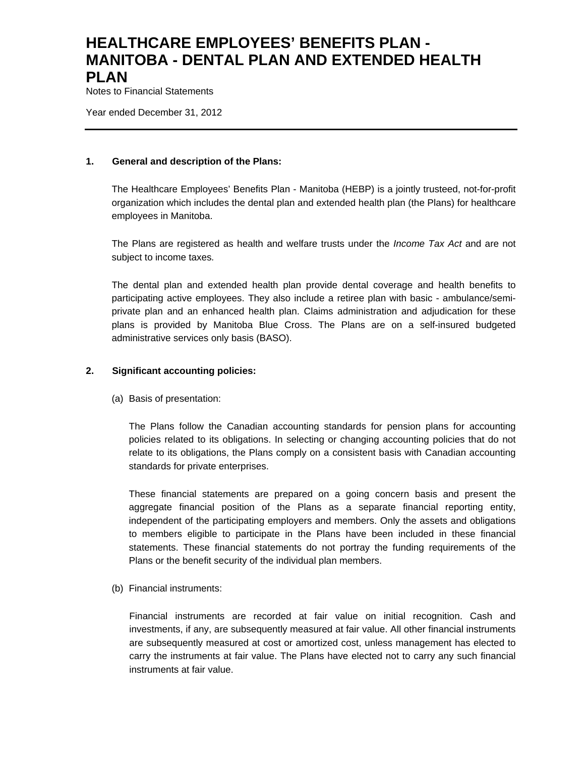Notes to Financial Statements

Year ended December 31, 2012

#### **1. General and description of the Plans:**

The Healthcare Employees' Benefits Plan - Manitoba (HEBP) is a jointly trusteed, not-for-profit organization which includes the dental plan and extended health plan (the Plans) for healthcare employees in Manitoba.

The Plans are registered as health and welfare trusts under the *Income Tax Act* and are not subject to income taxes*.*

The dental plan and extended health plan provide dental coverage and health benefits to participating active employees. They also include a retiree plan with basic - ambulance/semiprivate plan and an enhanced health plan. Claims administration and adjudication for these plans is provided by Manitoba Blue Cross. The Plans are on a self-insured budgeted administrative services only basis (BASO).

#### **2. Significant accounting policies:**

(a) Basis of presentation:

The Plans follow the Canadian accounting standards for pension plans for accounting policies related to its obligations. In selecting or changing accounting policies that do not relate to its obligations, the Plans comply on a consistent basis with Canadian accounting standards for private enterprises.

These financial statements are prepared on a going concern basis and present the aggregate financial position of the Plans as a separate financial reporting entity, independent of the participating employers and members. Only the assets and obligations to members eligible to participate in the Plans have been included in these financial statements. These financial statements do not portray the funding requirements of the Plans or the benefit security of the individual plan members.

(b) Financial instruments:

Financial instruments are recorded at fair value on initial recognition. Cash and investments, if any, are subsequently measured at fair value. All other financial instruments are subsequently measured at cost or amortized cost, unless management has elected to carry the instruments at fair value. The Plans have elected not to carry any such financial instruments at fair value.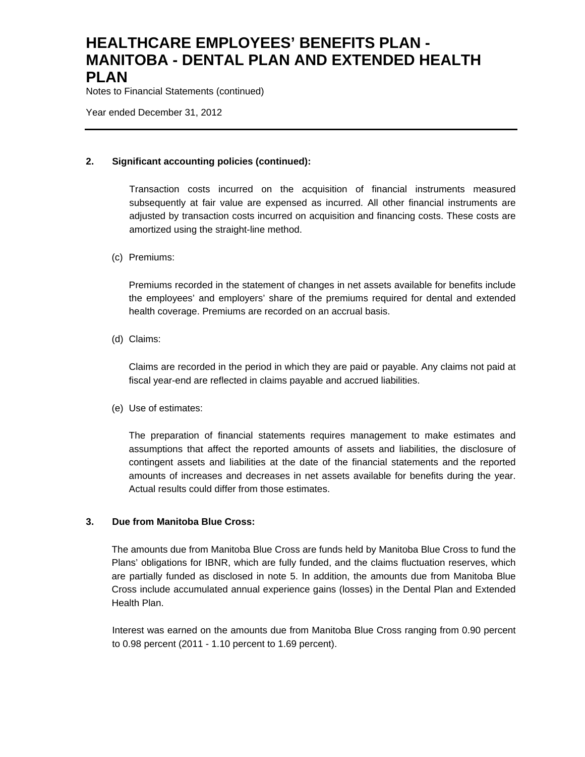Notes to Financial Statements (continued)

Year ended December 31, 2012

#### **2. Significant accounting policies (continued):**

Transaction costs incurred on the acquisition of financial instruments measured subsequently at fair value are expensed as incurred. All other financial instruments are adjusted by transaction costs incurred on acquisition and financing costs. These costs are amortized using the straight-line method.

#### (c) Premiums:

Premiums recorded in the statement of changes in net assets available for benefits include the employees' and employers' share of the premiums required for dental and extended health coverage. Premiums are recorded on an accrual basis.

(d) Claims:

Claims are recorded in the period in which they are paid or payable. Any claims not paid at fiscal year-end are reflected in claims payable and accrued liabilities.

(e) Use of estimates:

The preparation of financial statements requires management to make estimates and assumptions that affect the reported amounts of assets and liabilities, the disclosure of contingent assets and liabilities at the date of the financial statements and the reported amounts of increases and decreases in net assets available for benefits during the year. Actual results could differ from those estimates.

#### **3. Due from Manitoba Blue Cross:**

The amounts due from Manitoba Blue Cross are funds held by Manitoba Blue Cross to fund the Plans' obligations for IBNR, which are fully funded, and the claims fluctuation reserves, which are partially funded as disclosed in note 5. In addition, the amounts due from Manitoba Blue Cross include accumulated annual experience gains (losses) in the Dental Plan and Extended Health Plan.

Interest was earned on the amounts due from Manitoba Blue Cross ranging from 0.90 percent to 0.98 percent (2011 - 1.10 percent to 1.69 percent).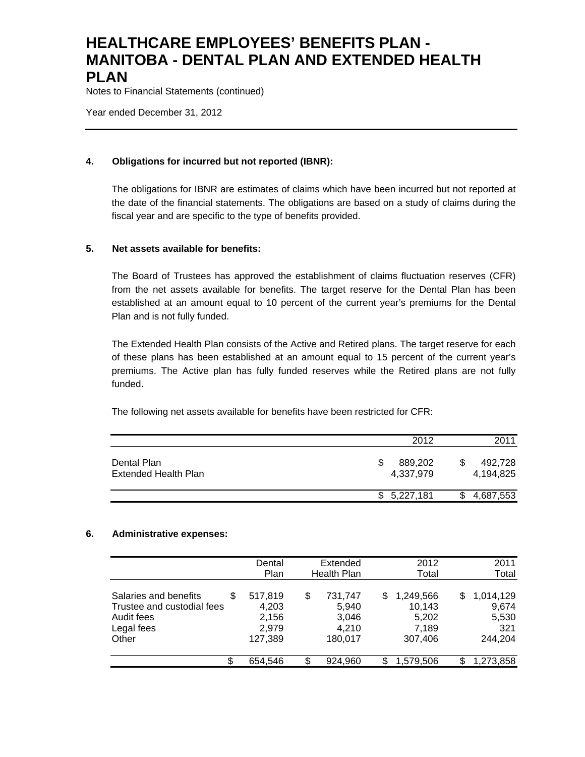Notes to Financial Statements (continued)

Year ended December 31, 2012

#### **4. Obligations for incurred but not reported (IBNR):**

The obligations for IBNR are estimates of claims which have been incurred but not reported at the date of the financial statements. The obligations are based on a study of claims during the fiscal year and are specific to the type of benefits provided.

#### **5. Net assets available for benefits:**

The Board of Trustees has approved the establishment of claims fluctuation reserves (CFR) from the net assets available for benefits. The target reserve for the Dental Plan has been established at an amount equal to 10 percent of the current year's premiums for the Dental Plan and is not fully funded.

The Extended Health Plan consists of the Active and Retired plans. The target reserve for each of these plans has been established at an amount equal to 15 percent of the current year's premiums. The Active plan has fully funded reserves while the Retired plans are not fully funded.

The following net assets available for benefits have been restricted for CFR:

|                                     | 2012                 | 2011                 |
|-------------------------------------|----------------------|----------------------|
| Dental Plan<br>Extended Health Plan | 889,202<br>4.337.979 | 492,728<br>4.194.825 |
|                                     | \$5,227,181          | 4,687,553            |

#### **6. Administrative expenses:**

|                                                                                               | Dental<br>Plan                                | Extended<br><b>Health Plan</b>                      | 2012<br>Total                                          | 2011<br>Total                                      |
|-----------------------------------------------------------------------------------------------|-----------------------------------------------|-----------------------------------------------------|--------------------------------------------------------|----------------------------------------------------|
| Salaries and benefits<br>S<br>Trustee and custodial fees<br>Audit fees<br>Legal fees<br>Other | 517,819<br>4,203<br>2,156<br>2.979<br>127.389 | \$<br>731,747<br>5,940<br>3,046<br>4.210<br>180.017 | 1,249,566<br>\$<br>10,143<br>5,202<br>7.189<br>307,406 | 1,014,129<br>S<br>9,674<br>5,530<br>321<br>244,204 |
| \$                                                                                            | 654.546                                       | \$<br>924,960                                       | S<br>1,579,506                                         | S<br>1,273,858                                     |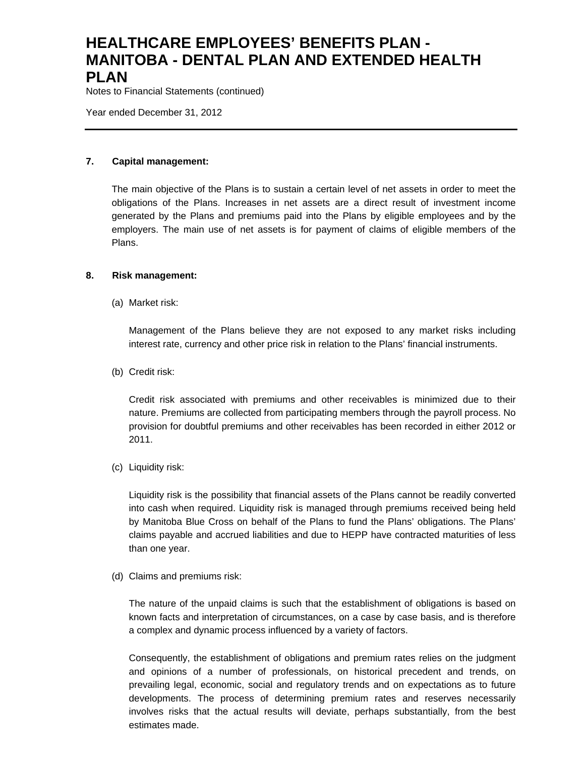Notes to Financial Statements (continued)

Year ended December 31, 2012

#### **7. Capital management:**

The main objective of the Plans is to sustain a certain level of net assets in order to meet the obligations of the Plans. Increases in net assets are a direct result of investment income generated by the Plans and premiums paid into the Plans by eligible employees and by the employers. The main use of net assets is for payment of claims of eligible members of the Plans.

#### **8. Risk management:**

(a) Market risk:

Management of the Plans believe they are not exposed to any market risks including interest rate, currency and other price risk in relation to the Plans' financial instruments.

(b) Credit risk:

Credit risk associated with premiums and other receivables is minimized due to their nature. Premiums are collected from participating members through the payroll process. No provision for doubtful premiums and other receivables has been recorded in either 2012 or 2011.

(c) Liquidity risk:

Liquidity risk is the possibility that financial assets of the Plans cannot be readily converted into cash when required. Liquidity risk is managed through premiums received being held by Manitoba Blue Cross on behalf of the Plans to fund the Plans' obligations. The Plans' claims payable and accrued liabilities and due to HEPP have contracted maturities of less than one year.

(d) Claims and premiums risk:

The nature of the unpaid claims is such that the establishment of obligations is based on known facts and interpretation of circumstances, on a case by case basis, and is therefore a complex and dynamic process influenced by a variety of factors.

Consequently, the establishment of obligations and premium rates relies on the judgment and opinions of a number of professionals, on historical precedent and trends, on prevailing legal, economic, social and regulatory trends and on expectations as to future developments. The process of determining premium rates and reserves necessarily involves risks that the actual results will deviate, perhaps substantially, from the best estimates made.